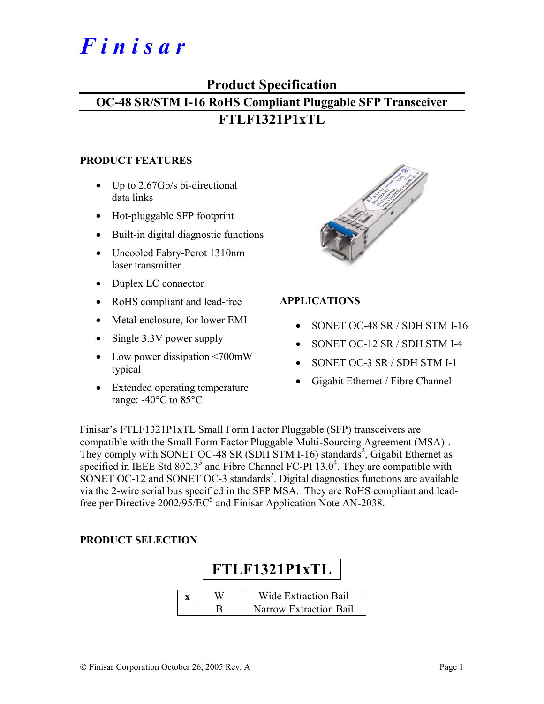# *F i n i s a r*

### **Product Specification**

## **OC-48 SR/STM I-16 RoHS Compliant Pluggable SFP Transceiver FTLF1321P1xTL**

#### **PRODUCT FEATURES**

- Up to 2.67Gb/s bi-directional data links
- Hot-pluggable SFP footprint
- Built-in digital diagnostic functions
- Uncooled Fabry-Perot 1310nm laser transmitter
- Duplex LC connector
- RoHS compliant and lead-free
- Metal enclosure, for lower EMI
- Single 3.3V power supply
- Low power dissipation <700mW typical
- Extended operating temperature range: -40°C to 85°C



#### **APPLICATIONS**

- SONET OC-48 SR / SDH STM I-16
- SONET OC-12 SR / SDH STM I-4
- SONET OC-3 SR / SDH STM I-1
- Gigabit Ethernet / Fibre Channel

Finisar's FTLF1321P1xTL Small Form Factor Pluggable (SFP) transceivers are compatible with the Small Form Factor Pluggable Multi-Sourcing Agreement  $(MSA)^{1}$ . They comply with SONET OC-48 SR (SDH STM I-16) standards<sup>2</sup>, Gigabit Ethernet as specified in IEEE Std  $802.3^3$  and Fibre Channel FC-PI 13.0<sup>4</sup>. They are compatible with SONET OC-12 and SONET OC-3 standards<sup>2</sup>. Digital diagnostics functions are available via the 2-wire serial bus specified in the SFP MSA. They are RoHS compliant and leadfree per Directive  $2002/95/EC^5$  and Finisar Application Note AN-2038.

#### **PRODUCT SELECTION**

|  | FTLF1321P1xTL                 |  |  |  |  |  |  |  |  |
|--|-------------------------------|--|--|--|--|--|--|--|--|
|  | <b>Wide Extraction Bail</b>   |  |  |  |  |  |  |  |  |
|  | <b>Narrow Extraction Bail</b> |  |  |  |  |  |  |  |  |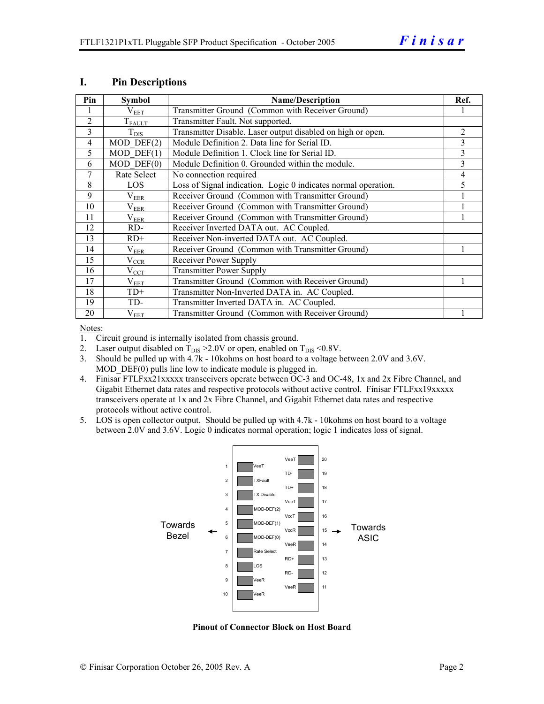| Pin            | <b>Symbol</b>    | <b>Name/Description</b>                                        |   |  |  |
|----------------|------------------|----------------------------------------------------------------|---|--|--|
|                | $\rm V_{EET}$    | Transmitter Ground (Common with Receiver Ground)               |   |  |  |
| $\overline{2}$ | $T_{FAULT}$      | Transmitter Fault. Not supported.                              |   |  |  |
| 3              | $T_{\rm DIS}$    | Transmitter Disable. Laser output disabled on high or open.    | 2 |  |  |
| 4              | $MOD$ DEF $(2)$  | Module Definition 2. Data line for Serial ID.                  | 3 |  |  |
| 5              | $MOD$ DEF $(1)$  | Module Definition 1. Clock line for Serial ID.                 | 3 |  |  |
| 6              | $MOD$ $DEF(0)$   | Module Definition 0. Grounded within the module.               | 3 |  |  |
| 7              | Rate Select      | No connection required                                         | 4 |  |  |
| 8              | LOS              | Loss of Signal indication. Logic 0 indicates normal operation. | 5 |  |  |
| 9              | $\rm V_{EER}$    | Receiver Ground (Common with Transmitter Ground)               |   |  |  |
| 10             | $\rm V_{EER}$    | Receiver Ground (Common with Transmitter Ground)               |   |  |  |
| 11             | $\rm V_{EER}$    | Receiver Ground (Common with Transmitter Ground)               |   |  |  |
| 12             | RD-              | Receiver Inverted DATA out. AC Coupled.                        |   |  |  |
| 13             | $RD+$            | Receiver Non-inverted DATA out. AC Coupled.                    |   |  |  |
| 14             | $\rm V_{EER}$    | Receiver Ground (Common with Transmitter Ground)               |   |  |  |
| 15             | $V_{\text{CCR}}$ | Receiver Power Supply                                          |   |  |  |
| 16             | $V_{\rm CCT}$    | <b>Transmitter Power Supply</b>                                |   |  |  |
| 17             | $V_{EET}$        | Transmitter Ground (Common with Receiver Ground)               |   |  |  |
| 18             | $TD+$            | Transmitter Non-Inverted DATA in. AC Coupled.                  |   |  |  |
| 19             | TD-              | Transmitter Inverted DATA in. AC Coupled.                      |   |  |  |
| 20             | $V_{EET}$        | Transmitter Ground (Common with Receiver Ground)               |   |  |  |

#### **I. Pin Descriptions**

Notes:

1. Circuit ground is internally isolated from chassis ground.

- 2. Laser output disabled on  $T_{DIS} > 2.0V$  or open, enabled on  $T_{DIS} < 0.8V$ .<br>3. Should be pulled up with 4.7k 10kohms on host board to a voltage b
- 3. Should be pulled up with 4.7k 10kohms on host board to a voltage between 2.0V and 3.6V. MOD  $DEF(0)$  pulls line low to indicate module is plugged in.
- 4. Finisar FTLFxx21xxxxx transceivers operate between OC-3 and OC-48, 1x and 2x Fibre Channel, and Gigabit Ethernet data rates and respective protocols without active control. Finisar FTLFxx19xxxxx transceivers operate at 1x and 2x Fibre Channel, and Gigabit Ethernet data rates and respective protocols without active control.
- 5. LOS is open collector output. Should be pulled up with 4.7k 10kohms on host board to a voltage between 2.0V and 3.6V. Logic 0 indicates normal operation; logic 1 indicates loss of signal.



**Pinout of Connector Block on Host Board**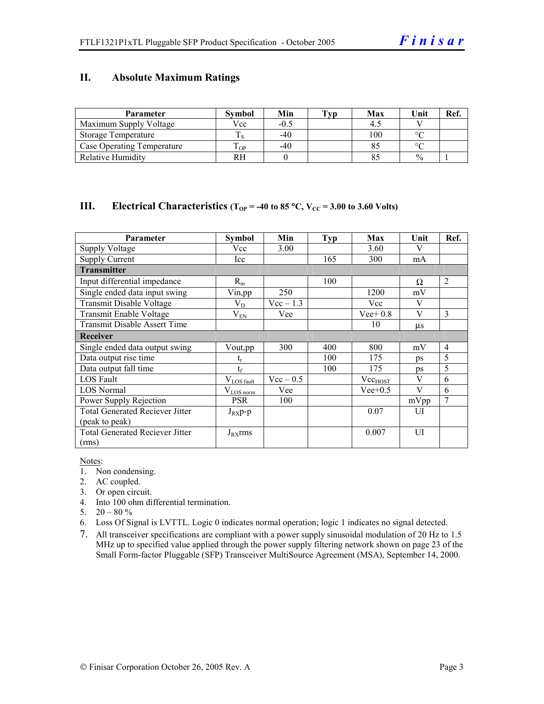#### **II. Absolute Maximum Ratings**

| <b>Parameter</b>                  | <b>Symbol</b> | Min    | Tvp | Max | Unit          | Ref. |
|-----------------------------------|---------------|--------|-----|-----|---------------|------|
| Maximum Supply Voltage            | Vcc           | $-0.5$ |     |     |               |      |
| Storage Temperature               |               | $-40$  |     | 100 | $\circ$       |      |
| <b>Case Operating Temperature</b> | m<br>OP.      | $-40$  |     |     | $\sim$        |      |
| <b>Relative Humidity</b>          | RH            |        |     |     | $\frac{0}{0}$ |      |

#### **III.** Electrical Characteristics ( $T_{OP}$  = -40 to 85 °C,  $V_{CC}$  = 3.00 to 3.60 Volts)

| Parameter                              | Symbol                 | Min         | Typ | Max          | Unit    | Ref.           |
|----------------------------------------|------------------------|-------------|-----|--------------|---------|----------------|
| <b>Supply Voltage</b>                  | Vcc                    | 3.00        |     | 3.60         | V       |                |
| <b>Supply Current</b>                  | Icc                    |             | 165 | 300          | mA      |                |
| <b>Transmitter</b>                     |                        |             |     |              |         |                |
| Input differential impedance           | $R_{in}$               |             | 100 |              | Ω       | $\overline{2}$ |
| Single ended data input swing          | Vin,pp                 | 250         |     | 1200         | mV      |                |
| <b>Transmit Disable Voltage</b>        | $V_D$                  | $Vec-1.3$   |     | Vcc          | V       |                |
| Transmit Enable Voltage                | $V_{EN}$               | Vee         |     | $Vee+0.8$    | V       | 3              |
| <b>Transmit Disable Assert Time</b>    |                        |             |     | 10           | $\mu s$ |                |
| Receiver                               |                        |             |     |              |         |                |
| Single ended data output swing         | Vout,pp                | 300         | 400 | 800          | mV      | $\overline{4}$ |
| Data output rise time                  | $t_{r}$                |             | 100 | 175          | ps      | 5              |
| Data output fall time                  | $t_f$                  |             | 100 | 175          | ps      | 5              |
| <b>LOS Fault</b>                       | $V_{\text{LOS fault}}$ | $Vec - 0.5$ |     | $Vec_{HOST}$ | V       | 6              |
| <b>LOS Normal</b>                      | $V_{LOS\,norm}$        | Vee         |     | $Vee+0.5$    | V       | 6              |
| Power Supply Rejection                 | <b>PSR</b>             | 100         |     |              | mVpp    | 7              |
| <b>Total Generated Reciever Jitter</b> | $J_{RX}p-p$            |             |     | 0.07         | UI      |                |
| (peak to peak)                         |                        |             |     |              |         |                |
| <b>Total Generated Reciever Jitter</b> | $J_{RX}$ rms           |             |     | 0.007        | UI      |                |
| (rms)                                  |                        |             |     |              |         |                |

Notes:

- 1. Non condensing.
- 2. AC coupled.
- 3. Or open circuit.
- 4. Into 100 ohm differential termination.
- 5.  $20 80 \%$
- 6. Loss Of Signal is LVTTL. Logic 0 indicates normal operation; logic 1 indicates no signal detected.
- 7. All transceiver specifications are compliant with a power supply sinusoidal modulation of 20 Hz to 1.5 MHz up to specified value applied through the power supply filtering network shown on page 23 of the Small Form-factor Pluggable (SFP) Transceiver MultiSource Agreement (MSA), September 14, 2000.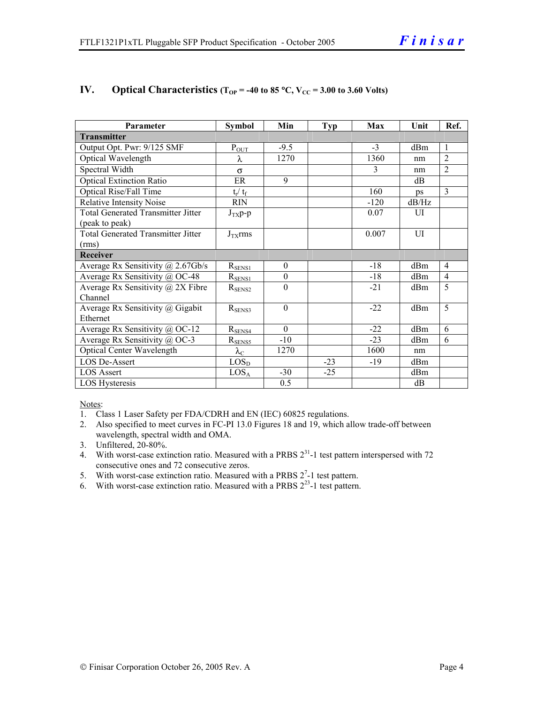| Parameter                                 | <b>Symbol</b>             | Min              | <b>Typ</b> | Max           | Unit            | Ref.           |
|-------------------------------------------|---------------------------|------------------|------------|---------------|-----------------|----------------|
| <b>Transmitter</b>                        |                           |                  |            |               |                 |                |
| Output Opt. Pwr: 9/125 SMF                | $P_{OUT}$                 | $-9.5$           |            | $-3$          | dBm             | $\mathbf{1}$   |
| Optical Wavelength                        | λ                         | 1270             |            | 1360          | nm              | $\overline{2}$ |
| Spectral Width                            | $\sigma$                  |                  |            | $\mathcal{E}$ | nm              | $\overline{2}$ |
| Optical Extinction Ratio                  | ER                        | 9                |            |               | dB              |                |
| Optical Rise/Fall Time                    | $t_{\rm r}$ / $t_{\rm f}$ |                  |            | 160           | ps              | 3              |
| <b>Relative Intensity Noise</b>           | <b>RIN</b>                |                  |            | $-120$        | dB/Hz           |                |
| <b>Total Generated Transmitter Jitter</b> | $J_{TX}p-p$               |                  |            | 0.07          | UI              |                |
| (peak to peak)                            |                           |                  |            |               |                 |                |
| <b>Total Generated Transmitter Jitter</b> | $J_{TX}$ rms              |                  |            | 0.007         | UI              |                |
| (rms)                                     |                           |                  |            |               |                 |                |
| Receiver                                  |                           |                  |            |               |                 |                |
| Average Rx Sensitivity $(a)$ 2.67Gb/s     | $R_{\rm SENS1}$           | $\theta$         |            | $-18$         | d <sub>Bm</sub> | $\overline{4}$ |
| Average Rx Sensitivity @ OC-48            | $R_{SENS1}$               | $\boldsymbol{0}$ |            | $-18$         | dBm             | 4              |
| Average Rx Sensitivity $(a)$ 2X Fibre     | $R_{\rm SENS2}$           | $\theta$         |            | $-21$         | dBm             | 5              |
| Channel                                   |                           |                  |            |               |                 |                |
| Average Rx Sensitivity $\omega$ Gigabit   | $R_{\rm SENS3}$           | $\theta$         |            | $-22$         | d <sub>Bm</sub> | 5              |
| Ethernet                                  |                           |                  |            |               |                 |                |
| Average Rx Sensitivity @ OC-12            | $R_{\text{SENS4}}$        | $\Omega$         |            | $-22$         | dBm             | 6              |
| Average Rx Sensitivity @ OC-3             | $R_{SENSS}$               | $-10$            |            | $-23$         | dBm             | 6              |
| <b>Optical Center Wavelength</b>          | $\lambda_{\underline{C}}$ | 1270             |            | 1600          | nm              |                |
| <b>LOS De-Assert</b>                      | LOS <sub>D</sub>          |                  | $-23$      | $-19$         | dBm             |                |
| <b>LOS Assert</b>                         | $LOS_A$                   | $-30$            | $-25$      |               | dBm             |                |
| LOS Hysteresis                            |                           | 0.5              |            |               | dB              |                |

#### IV. Optical Characteristics ( $T_{OP}$  = -40 to 85 °C,  $V_{CC}$  = 3.00 to 3.60 Volts)

Notes:

- 1. Class 1 Laser Safety per FDA/CDRH and EN (IEC) 60825 regulations.
- 2. Also specified to meet curves in FC-PI 13.0 Figures 18 and 19, which allow trade-off between wavelength, spectral width and OMA.
- 3. Unfiltered, 20-80%.
- 4. With worst-case extinction ratio. Measured with a PRBS  $2^{31}$ -1 test pattern interspersed with 72 consecutive ones and 72 consecutive zeros.
- 5. With worst-case extinction ratio. Measured with a PRBS  $2^7$ -1 test pattern.
- 6. With worst-case extinction ratio. Measured with a PRBS  $2^{23}$ -1 test pattern.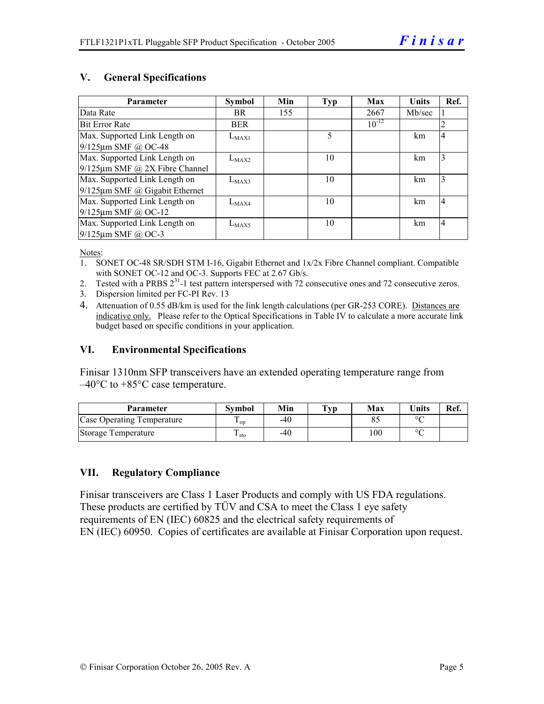#### **V. General Specifications**

| <b>Parameter</b>                     | <b>Symbol</b> | Min | <b>Typ</b> | Max        | Units  | Ref.           |
|--------------------------------------|---------------|-----|------------|------------|--------|----------------|
| Data Rate                            | BR.           | 155 |            | 2667       | Mb/sec |                |
| <b>Bit Error Rate</b>                | <b>BER</b>    |     |            | $10^{-12}$ |        | 2              |
| Max. Supported Link Length on        | $L_{MAX1}$    |     | 5          |            | km     | $\overline{4}$ |
| $9/125$ µm SMF @ OC-48               |               |     |            |            |        |                |
| Max. Supported Link Length on        | $L_{MAX2}$    |     | 10         |            | km     | 3              |
| $9/125 \mu m$ SMF @ 2X Fibre Channel |               |     |            |            |        |                |
| Max. Supported Link Length on        | $L_{MAX3}$    |     | 10         |            | km     | 3              |
| $9/125 \mu m$ SMF @ Gigabit Ethernet |               |     |            |            |        |                |
| Max. Supported Link Length on        | $L_{MAX4}$    |     | 10         |            | km     | $\overline{4}$ |
| $9/125 \mu m$ SMF @ OC-12            |               |     |            |            |        |                |
| Max. Supported Link Length on        | $L_{MAX5}$    |     | 10         |            | km     | $\overline{4}$ |
| $9/125$ µm SMF @ OC-3                |               |     |            |            |        |                |

Notes:

- 1. SONET OC-48 SR/SDH STM I-16, Gigabit Ethernet and 1x/2x Fibre Channel compliant. Compatible with SONET OC-12 and OC-3. Supports FEC at 2.67 Gb/s.
- 2. Tested with a PRBS  $2^{31}$ -1 test pattern interspersed with 72 consecutive ones and 72 consecutive zeros.
- 3. Dispersion limited per FC-PI Rev. 13
- 4. Attenuation of 0.55 dB/km is used for the link length calculations (per GR-253 CORE). Distances are indicative only. Please refer to the Optical Specifications in Table IV to calculate a more accurate link budget based on specific conditions in your application.

#### **VI. Environmental Specifications**

Finisar 1310nm SFP transceivers have an extended operating temperature range from  $-40^{\circ}$ C to  $+85^{\circ}$ C case temperature.

| Parameter                  | Svmbol          | Min | $\mathbf{T}_{\mathbf{V}\mathbf{p}}$ | Max | $\mathbf{v}_{\text{hits}}$ | Ref. |
|----------------------------|-----------------|-----|-------------------------------------|-----|----------------------------|------|
| Case Operating Temperature | <sup>L</sup> OD | -40 |                                     |     | $\sim$                     |      |
| Storage Temperature        | ᠇<br>⊥ sto      | -40 |                                     | 100 | $\sim$                     |      |

#### **VII. Regulatory Compliance**

Finisar transceivers are Class 1 Laser Products and comply with US FDA regulations. These products are certified by TÜV and CSA to meet the Class 1 eye safety requirements of EN (IEC) 60825 and the electrical safety requirements of EN (IEC) 60950. Copies of certificates are available at Finisar Corporation upon request.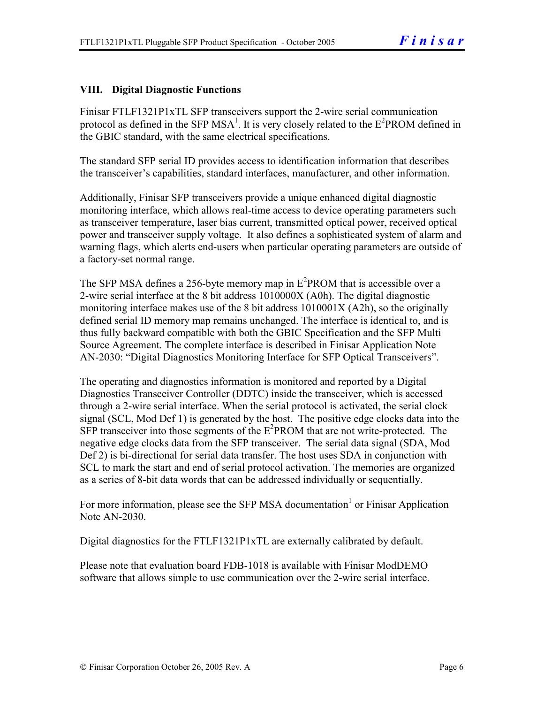#### **VIII. Digital Diagnostic Functions**

Finisar FTLF1321P1xTL SFP transceivers support the 2-wire serial communication protocol as defined in the SFP MSA<sup>1</sup>. It is very closely related to the  $E^2$ PROM defined in the GBIC standard, with the same electrical specifications.

The standard SFP serial ID provides access to identification information that describes the transceiver's capabilities, standard interfaces, manufacturer, and other information.

Additionally, Finisar SFP transceivers provide a unique enhanced digital diagnostic monitoring interface, which allows real-time access to device operating parameters such as transceiver temperature, laser bias current, transmitted optical power, received optical power and transceiver supply voltage. It also defines a sophisticated system of alarm and warning flags, which alerts end-users when particular operating parameters are outside of a factory-set normal range.

The SFP MSA defines a 256-byte memory map in  $E^2$ PROM that is accessible over a 2-wire serial interface at the 8 bit address 1010000X (A0h). The digital diagnostic monitoring interface makes use of the 8 bit address 1010001X (A2h), so the originally defined serial ID memory map remains unchanged. The interface is identical to, and is thus fully backward compatible with both the GBIC Specification and the SFP Multi Source Agreement. The complete interface is described in Finisar Application Note AN-2030: "Digital Diagnostics Monitoring Interface for SFP Optical Transceivers".

The operating and diagnostics information is monitored and reported by a Digital Diagnostics Transceiver Controller (DDTC) inside the transceiver, which is accessed through a 2-wire serial interface. When the serial protocol is activated, the serial clock signal (SCL, Mod Def 1) is generated by the host. The positive edge clocks data into the  $SFP$  transceiver into those segments of the  $E^2$ PROM that are not write-protected. The negative edge clocks data from the SFP transceiver. The serial data signal (SDA, Mod Def 2) is bi-directional for serial data transfer. The host uses SDA in conjunction with SCL to mark the start and end of serial protocol activation. The memories are organized as a series of 8-bit data words that can be addressed individually or sequentially.

For more information, please see the SFP MSA documentation<sup>1</sup> or Finisar Application Note AN-2030.

Digital diagnostics for the FTLF1321P1xTL are externally calibrated by default.

Please note that evaluation board FDB-1018 is available with Finisar ModDEMO software that allows simple to use communication over the 2-wire serial interface.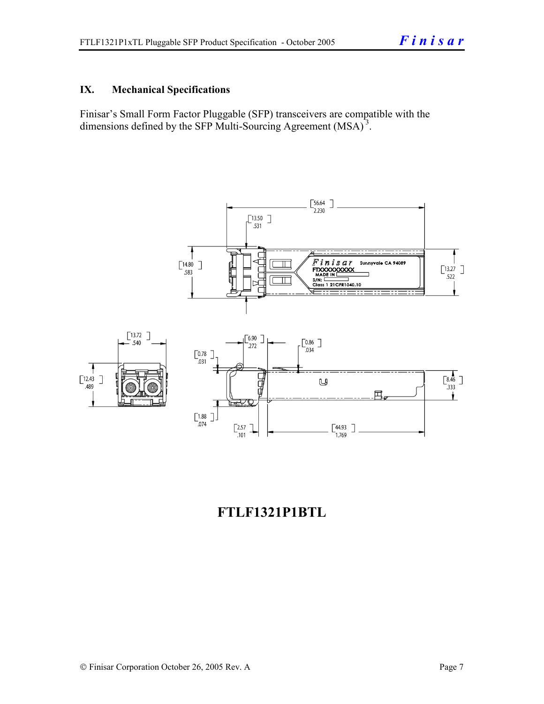#### **IX. Mechanical Specifications**

Finisar's Small Form Factor Pluggable (SFP) transceivers are compatible with the dimensions defined by the SFP Multi-Sourcing Agreement (MSA)<sup>3</sup>.



# **FTLF1321P1BTL**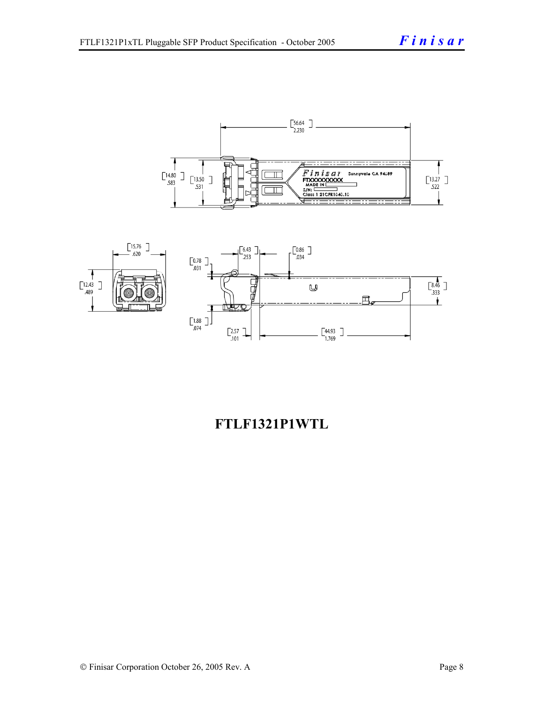



# **FTLF1321P1WTL**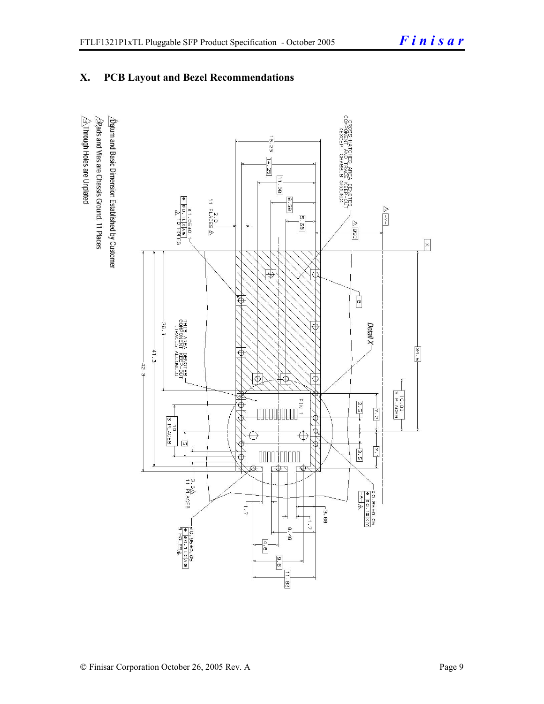#### **X. PCB Layout and Bezel Recommendations**

 $\triangleq$ Through Holes are Unplated  $\Delta$ atum and Basic Dimension Established by Customer  $\triangle$ Rads and Vias are Chassis Ground, 11 Places

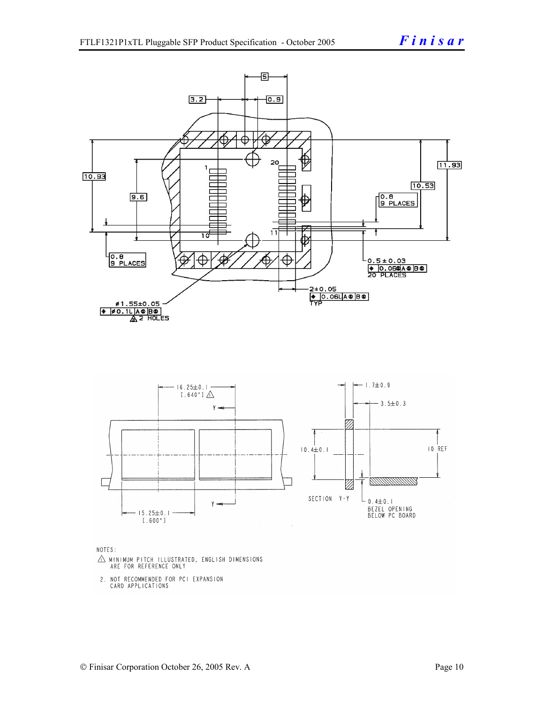

NOTES:

- $\triangle$  MINIMUM PITCH ILLUSTRATED, ENGLISH DIMENSIONS ARE FOR REFERENCE ONLY
- 2. NOT RECOMMENDED FOR PCI EXPANSION CARD APPLICATIONS